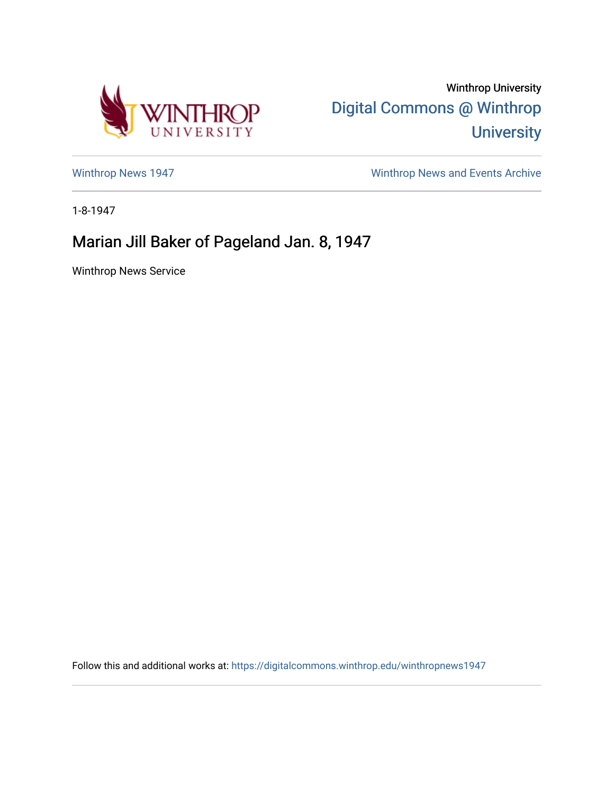

Winthrop University [Digital Commons @ Winthrop](https://digitalcommons.winthrop.edu/)  **University** 

[Winthrop News 1947](https://digitalcommons.winthrop.edu/winthropnews1947) [Winthrop News and Events Archive](https://digitalcommons.winthrop.edu/winthropnewsarchives) 

1-8-1947

## Marian Jill Baker of Pageland Jan. 8, 1947

Winthrop News Service

Follow this and additional works at: [https://digitalcommons.winthrop.edu/winthropnews1947](https://digitalcommons.winthrop.edu/winthropnews1947?utm_source=digitalcommons.winthrop.edu%2Fwinthropnews1947%2F27&utm_medium=PDF&utm_campaign=PDFCoverPages)